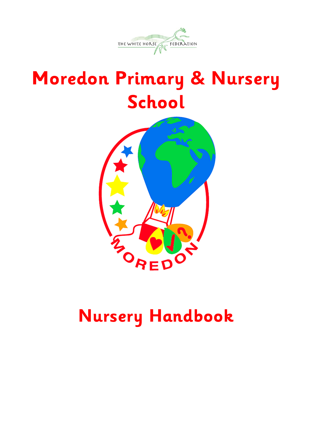

# **Moredon Primary & Nursery School**



# **Nursery Handbook**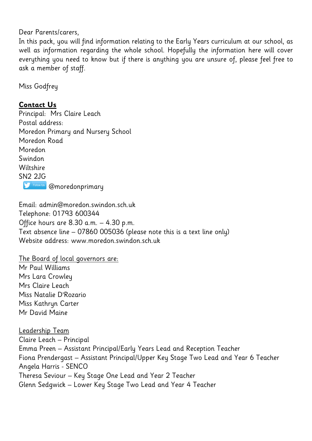Dear Parents/carers,

In this pack, you will find information relating to the Early Years curriculum at our school, as well as information regarding the whole school. Hopefully the information here will cover everything you need to know but if there is anything you are unsure of, please feel free to ask a member of staff.

Miss Godfrey

#### **Contact Us**

Principal: Mrs Claire Leach Postal address: Moredon Primary and Nursery School Moredon Road Moredon Swindon Wiltshire SN2 2JG **S** Follow Us @moredonprimary

Email: admin@moredon.swindon.sch.uk Telephone: 01793 600344 Office hours are 8.30 a.m. – 4.30 p.m. Text absence line – 07860 005036 (please note this is a text line only) Website address: www.moredon.swindon.sch.uk

The Board of local governors are:

Mr Paul Williams Mrs Lara Crowley Mrs Claire Leach Miss Natalie D'Rozario Miss Kathryn Carter Mr David Maine

Leadership Team Claire Leach – Principal Emma Preen – Assistant Principal/Early Years Lead and Reception Teacher Fiona Prendergast – Assistant Principal/Upper Key Stage Two Lead and Year 6 Teacher Angela Harris - SENCO Theresa Seviour – Key Stage One Lead and Year 2 Teacher Glenn Sedgwick – Lower Key Stage Two Lead and Year 4 Teacher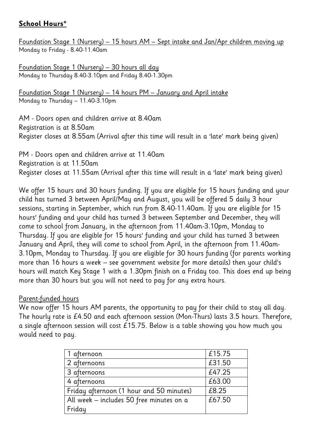#### **School Hours\***

Foundation Stage 1 (Nursery) – 15 hours AM – Sept intake and Jan/Apr children moving up Monday to Friday - 8.40-11.40am

Foundation Stage 1 (Nursery) – 30 hours all day Monday to Thursday 8.40-3.10pm and Friday 8.40-1.30pm

Foundation Stage 1 (Nursery) – 14 hours PM – January and April intake Monday to Thursday – 11.40-3.10pm

AM - Doors open and children arrive at 8.40am Registration is at 8.50am Register closes at 8.55am (Arrival after this time will result in a 'late' mark being given)

PM - Doors open and children arrive at 11.40am Registration is at 11.50am Register closes at 11.55am (Arrival after this time will result in a 'late' mark being given)

We offer 15 hours and 30 hours funding. If you are eligible for 15 hours funding and your child has turned 3 between April/May and August, you will be offered 5 daily 3 hour sessions, starting in September, which run from 8.40-11.40am. If you are eligible for 15 hours' funding and your child has turned 3 between September and December, they will come to school from January, in the afternoon from 11.40am-3.10pm, Monday to Thursday. If you are eligible for 15 hours' funding and your child has turned 3 between January and April, they will come to school from April, in the afternoon from 11.40am-3.10pm, Monday to Thursday. If you are eligible for 30 hours funding (for parents working more than 16 hours a week – see government website for more details) then your child's hours will match Key Stage 1 with a 1.30pm finish on a Friday too. This does end up being more than 30 hours but you will not need to pay for any extra hours.

#### Parent-funded hours

We now offer 15 hours AM parents, the opportunity to pay for their child to stay all day. The hourly rate is £4.50 and each afternoon session (Mon-Thurs) lasts 3.5 hours. Therefore, a single afternoon session will cost £15.75. Below is a table showing you how much you would need to pay.

| 1 afternoon                              | £15.75 |
|------------------------------------------|--------|
| 2 afternoons                             | £31.50 |
| 3 afternoons                             | £47.25 |
| 4 afternoons                             | £63.00 |
| Friday afternoon (1 hour and 50 minutes) | £8.25  |
| All week - includes 50 free minutes on a | £67.50 |
| Friday                                   |        |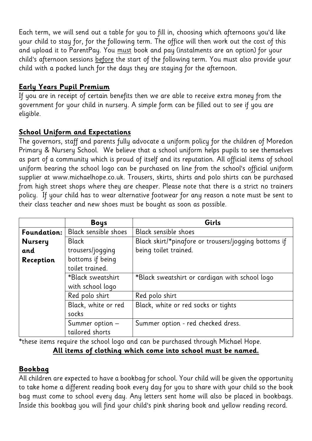Each term, we will send out a table for you to fill in, choosing which afternoons you'd like your child to stay for, for the following term. The office will then work out the cost of this and upload it to ParentPay. You must book and pay (instalments are an option) for your child's afternoon sessions before the start of the following term. You must also provide your child with a packed lunch for the days they are staying for the afternoon.

#### **Early Years Pupil Premium**

If you are in receipt of certain benefits then we are able to receive extra money from the government for your child in nursery. A simple form can be filled out to see if you are eligible.

#### **School Uniform and Expectations**

The governors, staff and parents fully advocate a uniform policy for the children of Moredon Primary & Nursery School. We believe that a school uniform helps pupils to see themselves as part of a community which is proud of itself and its reputation. All official items of school uniform bearing the school logo can be purchased on line from the school's official uniform supplier at www.michaelhope.co.uk. Trousers, skirts, shirts and polo shirts can be purchased from high street shops where they are cheaper. Please note that there is a strict no trainers policy. If your child has to wear alternative footwear for any reason a note must be sent to their class teacher and new shoes must be bought as soon as possible.

|                | <b>Boys</b>          | Girls                                                |
|----------------|----------------------|------------------------------------------------------|
| Foundation:    | Black sensible shoes | Black sensible shoes                                 |
| <b>Nursery</b> | <b>Black</b>         | Black skirt/*pinafore or trousers/jogging bottoms if |
| and            | trousers/jogging     | being toilet trained.                                |
| Reception      | bottoms if being     |                                                      |
|                | toilet trained.      |                                                      |
|                | *Black sweatshirt    | *Black sweatshirt or cardigan with school logo       |
|                | with school logo     |                                                      |
|                | Red polo shirt       | Red polo shirt                                       |
|                | Black, white or red  | Black, white or red socks or tights                  |
|                | socks                |                                                      |
|                | Summer option -      | Summer option - red checked dress.                   |
|                | tailored shorts      |                                                      |

\*these items require the school logo and can be purchased through Michael Hope.

#### **All items of clothing which come into school must be named.**

#### **Bookbag**

All children are expected to have a bookbag for school. Your child will be given the opportunity to take home a different reading book every day for you to share with your child so the book bag must come to school every day. Any letters sent home will also be placed in bookbags. Inside this bookbag you will find your child's pink sharing book and yellow reading record.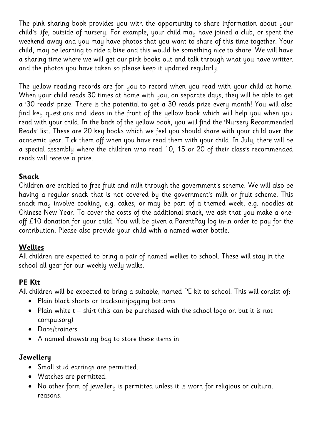The pink sharing book provides you with the opportunity to share information about your child's life, outside of nursery. For example, your child may have joined a club, or spent the weekend away and you may have photos that you want to share of this time together. Your child, may be learning to ride a bike and this would be something nice to share. We will have a sharing time where we will get our pink books out and talk through what you have written and the photos you have taken so please keep it updated regularly.

The yellow reading records are for you to record when you read with your child at home. When your child reads 30 times at home with you, on separate days, they will be able to get a '30 reads' prize. There is the potential to get a 30 reads prize every month! You will also find key questions and ideas in the front of the yellow book which will help you when you read with your child. In the back of the yellow book, you will find the 'Nursery Recommended Reads' list. These are 20 key books which we feel you should share with your child over the academic year. Tick them off when you have read them with your child. In July, there will be a special assembly where the children who read 10, 15 or 20 of their class's recommended reads will receive a prize.

#### **Snack**

Children are entitled to free fruit and milk through the government's scheme. We will also be having a regular snack that is not covered by the government's milk or fruit scheme. This snack may involve cooking, e.g. cakes, or may be part of a themed week, e.g. noodles at Chinese New Year. To cover the costs of the additional snack, we ask that you make a oneoff £10 donation for your child. You will be given a ParentPay log in-in order to pay for the contribution. Please also provide your child with a named water bottle.

## **Wellies**

All children are expected to bring a pair of named wellies to school. These will stay in the school all year for our weekly welly walks.

# **PE Kit**

All children will be expected to bring a suitable, named PE kit to school. This will consist of:

- Plain black shorts or tracksuit/jogging bottoms
- Plain white  $t -$  shirt (this can be purchased with the school logo on but it is not compulsory)
- Daps/trainers
- A named drawstring bag to store these items in

# **Jewellery**

- Small stud earrings are permitted.
- Watches are permitted.
- No other form of jewellery is permitted unless it is worn for religious or cultural reasons.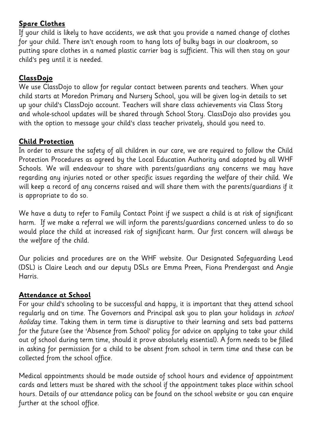#### **Spare Clothes**

If your child is likely to have accidents, we ask that you provide a named change of clothes for your child. There isn't enough room to hang lots of bulky bags in our cloakroom, so putting spare clothes in a named plastic carrier bag is sufficient. This will then stay on your child's peg until it is needed.

## **ClassDojo**

We use ClassDojo to allow for regular contact between parents and teachers. When your child starts at Moredon Primary and Nursery School, you will be given log-in details to set up your child's ClassDojo account. Teachers will share class achievements via Class Story and whole-school updates will be shared through School Story. ClassDojo also provides you with the option to message your child's class teacher privately, should you need to.

#### **Child Protection**

In order to ensure the safety of all children in our care, we are required to follow the Child Protection Procedures as agreed by the Local Education Authority and adopted by all WHF Schools. We will endeavour to share with parents/guardians any concerns we may have regarding any injuries noted or other specific issues regarding the welfare of their child. We will keep a record of any concerns raised and will share them with the parents/guardians if it is appropriate to do so.

We have a duty to refer to Family Contact Point if we suspect a child is at risk of significant harm. If we make a referral we will inform the parents/guardians concerned unless to do so would place the child at increased risk of significant harm. Our first concern will always be the welfare of the child.

Our policies and procedures are on the WHF website. Our Designated Safeguarding Lead (DSL) is Claire Leach and our deputy DSLs are Emma Preen, Fiona Prendergast and Angie Harris.

#### **Attendance at School**

For your child's schooling to be successful and happy, it is important that they attend school regularly and on time. The Governors and Principal ask you to plan your holidays in school holiday time. Taking them in term time is disruptive to their learning and sets bad patterns for the future (see the 'Absence from School' policy for advice on applying to take your child out of school during term time, should it prove absolutely essential). A form needs to be filled in asking for permission for a child to be absent from school in term time and these can be collected from the school office.

Medical appointments should be made outside of school hours and evidence of appointment cards and letters must be shared with the school if the appointment takes place within school hours. Details of our attendance policy can be found on the school website or you can enquire further at the school office.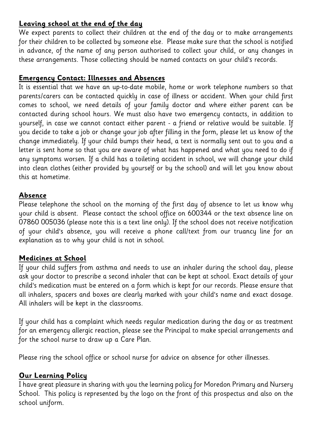#### **Leaving school at the end of the day**

We expect parents to collect their children at the end of the day or to make arrangements for their children to be collected by someone else. Please make sure that the school is notified in advance, of the name of any person authorised to collect your child, or any changes in these arrangements. Those collecting should be named contacts on your child's records.

#### **Emergency Contact: Illnesses and Absences**

It is essential that we have an up-to-date mobile, home or work telephone numbers so that parents/carers can be contacted quickly in case of illness or accident. When your child first comes to school, we need details of your family doctor and where either parent can be contacted during school hours. We must also have two emergency contacts, in addition to yourself, in case we cannot contact either parent - a friend or relative would be suitable. If you decide to take a job or change your job after filling in the form, please let us know of the change immediately. If your child bumps their head, a text is normally sent out to you and a letter is sent home so that you are aware of what has happened and what you need to do if any symptoms worsen. If a child has a toileting accident in school, we will change your child into clean clothes (either provided by yourself or by the school) and will let you know about this at hometime.

#### **Absence**

Please telephone the school on the morning of the first day of absence to let us know why your child is absent. Please contact the school office on 600344 or the text absence line on 07860 005036 (please note this is a text line only). If the school does not receive notification of your child's absence, you will receive a phone call/text from our truancy line for an explanation as to why your child is not in school.

#### **Medicines at School**

If your child suffers from asthma and needs to use an inhaler during the school day, please ask your doctor to prescribe a second inhaler that can be kept at school. Exact details of your child's medication must be entered on a form which is kept for our records. Please ensure that all inhalers, spacers and boxes are clearly marked with your child's name and exact dosage. All inhalers will be kept in the classrooms.

If your child has a complaint which needs regular medication during the day or as treatment for an emergency allergic reaction, please see the Principal to make special arrangements and for the school nurse to draw up a Care Plan.

Please ring the school office or school nurse for advice on absence for other illnesses.

#### **Our Learning Policy**

I have great pleasure in sharing with you the learning policy for Moredon Primary and Nursery School. This policy is represented by the logo on the front of this prospectus and also on the school uniform.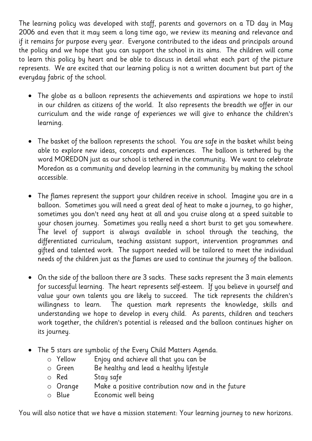The learning policy was developed with staff, parents and governors on a TD day in May 2006 and even that it may seem a long time ago, we review its meaning and relevance and if it remains for purpose every year. Everyone contributed to the ideas and principals around the policy and we hope that you can support the school in its aims. The children will come to learn this policy by heart and be able to discuss in detail what each part of the picture represents. We are excited that our learning policy is not a written document but part of the everyday fabric of the school.

- The globe as a balloon represents the achievements and aspirations we hope to instil in our children as citizens of the world. It also represents the breadth we offer in our curriculum and the wide range of experiences we will give to enhance the children's learning.
- The basket of the balloon represents the school. You are safe in the basket whilst being able to explore new ideas, concepts and experiences. The balloon is tethered by the word MOREDON just as our school is tethered in the community. We want to celebrate Moredon as a community and develop learning in the community by making the school accessible.
- The flames represent the support your children receive in school. Imagine you are in a balloon. Sometimes you will need a great deal of heat to make a journey, to go higher, sometimes you don't need any heat at all and you cruise along at a speed suitable to your chosen journey. Sometimes you really need a short burst to get you somewhere. The level of support is always available in school through the teaching, the differentiated curriculum, teaching assistant support, intervention programmes and gifted and talented work. The support needed will be tailored to meet the individual needs of the children just as the flames are used to continue the journey of the balloon.
- On the side of the balloon there are 3 sacks. These sacks represent the 3 main elements for successful learning. The heart represents self-esteem. If you believe in yourself and value your own talents you are likely to succeed. The tick represents the children's willingness to learn. The question mark represents the knowledge, skills and understanding we hope to develop in every child. As parents, children and teachers work together, the children's potential is released and the balloon continues higher on its journey.
- The 5 stars are symbolic of the Every Child Matters Agenda.
	- o Yellow Enjoy and achieve all that you can be
	- o Green Be healthy and lead a healthy lifestyle
	- o Red Stay safe
	- o Orange Make a positive contribution now and in the future
	- o Blue Economic well being

You will also notice that we have a mission statement: Your learning journey to new horizons.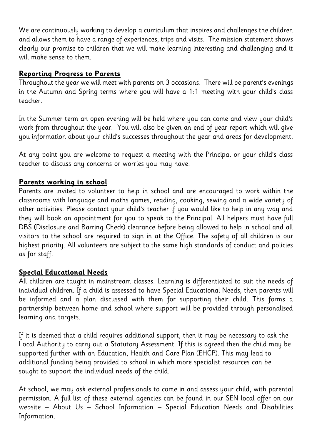We are continuously working to develop a curriculum that inspires and challenges the children and allows them to have a range of experiences, trips and visits. The mission statement shows clearly our promise to children that we will make learning interesting and challenging and it will make sense to them.

#### **Reporting Progress to Parents**

Throughout the year we will meet with parents on 3 occasions. There will be parent's evenings in the Autumn and Spring terms where you will have a 1:1 meeting with your child's class teacher.

In the Summer term an open evening will be held where you can come and view your child's work from throughout the year. You will also be given an end of year report which will give you information about your child's successes throughout the year and areas for development.

At any point you are welcome to request a meeting with the Principal or your child's class teacher to discuss any concerns or worries you may have.

#### **Parents working in school**

Parents are invited to volunteer to help in school and are encouraged to work within the classrooms with language and maths games, reading, cooking, sewing and a wide variety of other activities. Please contact your child's teacher if you would like to help in any way and they will book an appointment for you to speak to the Principal. All helpers must have full DBS (Disclosure and Barring Check) clearance before being allowed to help in school and all visitors to the school are required to sign in at the Office. The safety of all children is our highest priority. All volunteers are subject to the same high standards of conduct and policies as for staff.

#### **Special Educational Needs**

All children are taught in mainstream classes. Learning is differentiated to suit the needs of individual children. If a child is assessed to have Special Educational Needs, then parents will be informed and a plan discussed with them for supporting their child. This forms a partnership between home and school where support will be provided through personalised learning and targets.

If it is deemed that a child requires additional support, then it may be necessary to ask the Local Authority to carry out a Statutory Assessment. If this is agreed then the child may be supported further with an Education, Health and Care Plan (EHCP). This may lead to additional funding being provided to school in which more specialist resources can be sought to support the individual needs of the child.

At school, we may ask external professionals to come in and assess your child, with parental permission. A full list of these external agencies can be found in our SEN local offer on our website – About Us – School Information – Special Education Needs and Disabilities Information.